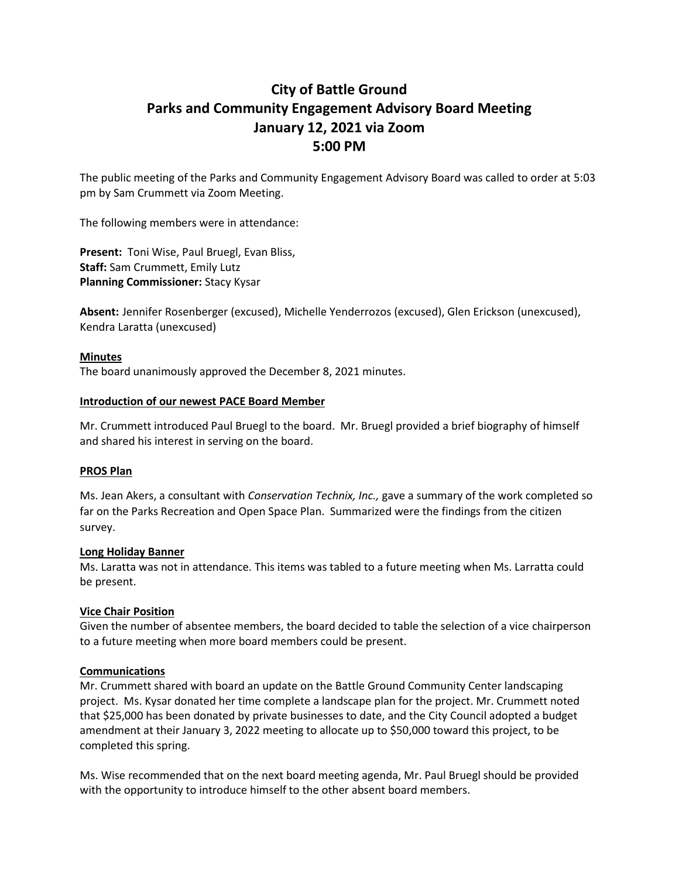# **City of Battle Ground Parks and Community Engagement Advisory Board Meeting January 12, 2021 via Zoom 5:00 PM**

The public meeting of the Parks and Community Engagement Advisory Board was called to order at 5:03 pm by Sam Crummett via Zoom Meeting.

The following members were in attendance:

**Present:** Toni Wise, Paul Bruegl, Evan Bliss, **Staff:** Sam Crummett, Emily Lutz **Planning Commissioner:** Stacy Kysar

**Absent:** Jennifer Rosenberger (excused), Michelle Yenderrozos (excused), Glen Erickson (unexcused), Kendra Laratta (unexcused)

#### **Minutes**

The board unanimously approved the December 8, 2021 minutes.

#### **Introduction of our newest PACE Board Member**

Mr. Crummett introduced Paul Bruegl to the board. Mr. Bruegl provided a brief biography of himself and shared his interest in serving on the board.

#### **PROS Plan**

Ms. Jean Akers, a consultant with *Conservation Technix, Inc.,* gave a summary of the work completed so far on the Parks Recreation and Open Space Plan. Summarized were the findings from the citizen survey.

#### **Long Holiday Banner**

Ms. Laratta was not in attendance. This items was tabled to a future meeting when Ms. Larratta could be present.

### **Vice Chair Position**

Given the number of absentee members, the board decided to table the selection of a vice chairperson to a future meeting when more board members could be present.

### **Communications**

Mr. Crummett shared with board an update on the Battle Ground Community Center landscaping project. Ms. Kysar donated her time complete a landscape plan for the project. Mr. Crummett noted that \$25,000 has been donated by private businesses to date, and the City Council adopted a budget amendment at their January 3, 2022 meeting to allocate up to \$50,000 toward this project, to be completed this spring.

Ms. Wise recommended that on the next board meeting agenda, Mr. Paul Bruegl should be provided with the opportunity to introduce himself to the other absent board members.